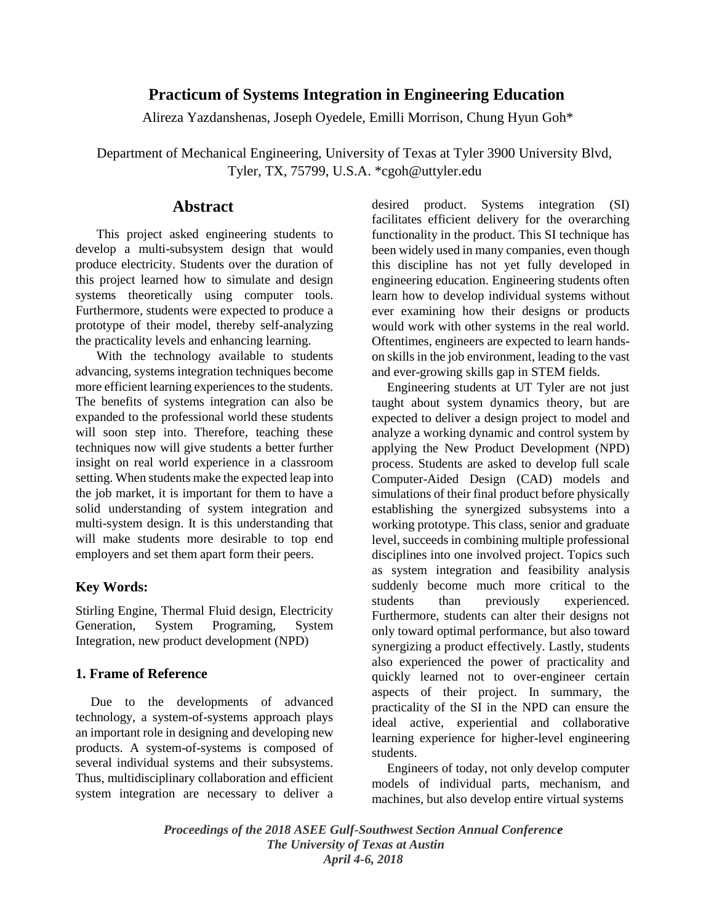# **Practicum of Systems Integration in Engineering Education**

Alireza Yazdanshenas, Joseph Oyedele, Emilli Morrison, Chung Hyun Goh\*

Department of Mechanical Engineering, University of Texas at Tyler 3900 University Blvd, Tyler, TX, 75799, U.S.A. \*cgoh@uttyler.edu

# **Abstract**

This project asked engineering students to develop a multi-subsystem design that would produce electricity. Students over the duration of this project learned how to simulate and design systems theoretically using computer tools. Furthermore, students were expected to produce a prototype of their model, thereby self-analyzing the practicality levels and enhancing learning.

With the technology available to students advancing, systems integration techniques become more efficient learning experiences to the students. The benefits of systems integration can also be expanded to the professional world these students will soon step into. Therefore, teaching these techniques now will give students a better further insight on real world experience in a classroom setting. When students make the expected leap into the job market, it is important for them to have a solid understanding of system integration and multi-system design. It is this understanding that will make students more desirable to top end employers and set them apart form their peers.

# **Key Words:**

Stirling Engine, Thermal Fluid design, Electricity Generation, System Programing, System Integration, new product development (NPD)

# **1. Frame of Reference**

Due to the developments of advanced technology, a system-of-systems approach plays an important role in designing and developing new products. A system-of-systems is composed of several individual systems and their subsystems. Thus, multidisciplinary collaboration and efficient system integration are necessary to deliver a desired product. Systems integration (SI) facilitates efficient delivery for the overarching functionality in the product. This SI technique has been widely used in many companies, even though this discipline has not yet fully developed in engineering education. Engineering students often learn how to develop individual systems without ever examining how their designs or products would work with other systems in the real world. Oftentimes, engineers are expected to learn handson skills in the job environment, leading to the vast and ever-growing skills gap in STEM fields.

Engineering students at UT Tyler are not just taught about system dynamics theory, but are expected to deliver a design project to model and analyze a working dynamic and control system by applying the New Product Development (NPD) process. Students are asked to develop full scale Computer-Aided Design (CAD) models and simulations of their final product before physically establishing the synergized subsystems into a working prototype. This class, senior and graduate level, succeeds in combining multiple professional disciplines into one involved project. Topics such as system integration and feasibility analysis suddenly become much more critical to the students than previously experienced. Furthermore, students can alter their designs not only toward optimal performance, but also toward synergizing a product effectively. Lastly, students also experienced the power of practicality and quickly learned not to over-engineer certain aspects of their project. In summary, the practicality of the SI in the NPD can ensure the ideal active, experiential and collaborative learning experience for higher-level engineering students.

Engineers of today, not only develop computer models of individual parts, mechanism, and machines, but also develop entire virtual systems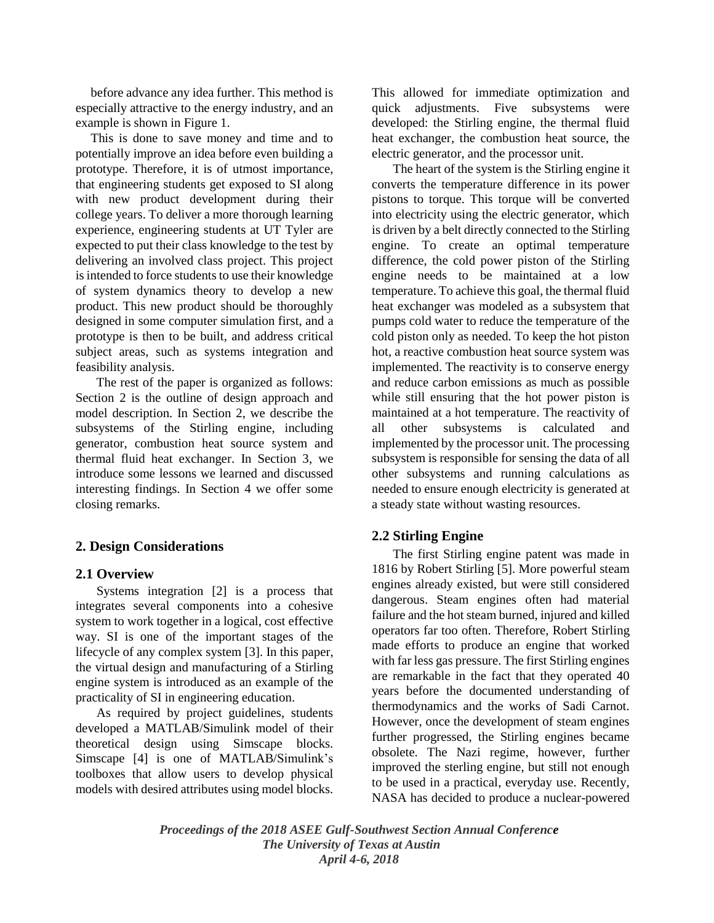before advance any idea further. This method is especially attractive to the energy industry, and an example is shown in Figure 1.

This is done to save money and time and to potentially improve an idea before even building a prototype. Therefore, it is of utmost importance, that engineering students get exposed to SI along with new product development during their college years. To deliver a more thorough learning experience, engineering students at UT Tyler are expected to put their class knowledge to the test by delivering an involved class project. This project is intended to force students to use their knowledge of system dynamics theory to develop a new product. This new product should be thoroughly designed in some computer simulation first, and a prototype is then to be built, and address critical subject areas, such as systems integration and feasibility analysis.

The rest of the paper is organized as follows: Section 2 is the outline of design approach and model description. In Section 2, we describe the subsystems of the Stirling engine, including generator, combustion heat source system and thermal fluid heat exchanger. In Section 3, we introduce some lessons we learned and discussed interesting findings. In Section 4 we offer some closing remarks.

#### **2. Design Considerations**

### **2.1 Overview**

Systems integration [2] is a process that integrates several components into a cohesive system to work together in a logical, cost effective way. SI is one of the important stages of the lifecycle of any complex system [3]. In this paper, the virtual design and manufacturing of a Stirling engine system is introduced as an example of the practicality of SI in engineering education.

As required by project guidelines, students developed a MATLAB/Simulink model of their theoretical design using Simscape blocks. Simscape [4] is one of MATLAB/Simulink's toolboxes that allow users to develop physical models with desired attributes using model blocks.

This allowed for immediate optimization and quick adjustments. Five subsystems were developed: the Stirling engine, the thermal fluid heat exchanger, the combustion heat source, the electric generator, and the processor unit.

The heart of the system is the Stirling engine it converts the temperature difference in its power pistons to torque. This torque will be converted into electricity using the electric generator, which is driven by a belt directly connected to the Stirling engine. To create an optimal temperature difference, the cold power piston of the Stirling engine needs to be maintained at a low temperature. To achieve this goal, the thermal fluid heat exchanger was modeled as a subsystem that pumps cold water to reduce the temperature of the cold piston only as needed. To keep the hot piston hot, a reactive combustion heat source system was implemented. The reactivity is to conserve energy and reduce carbon emissions as much as possible while still ensuring that the hot power piston is maintained at a hot temperature. The reactivity of all other subsystems is calculated and implemented by the processor unit. The processing subsystem is responsible for sensing the data of all other subsystems and running calculations as needed to ensure enough electricity is generated at a steady state without wasting resources.

## **2.2 Stirling Engine**

The first Stirling engine patent was made in 1816 by Robert Stirling [5]. More powerful steam engines already existed, but were still considered dangerous. Steam engines often had material failure and the hot steam burned, injured and killed operators far too often. Therefore, Robert Stirling made efforts to produce an engine that worked with far less gas pressure. The first Stirling engines are remarkable in the fact that they operated 40 years before the documented understanding of thermodynamics and the works of Sadi Carnot. However, once the development of steam engines further progressed, the Stirling engines became obsolete. The Nazi regime, however, further improved the sterling engine, but still not enough to be used in a practical, everyday use. Recently, NASA has decided to produce a nuclear-powered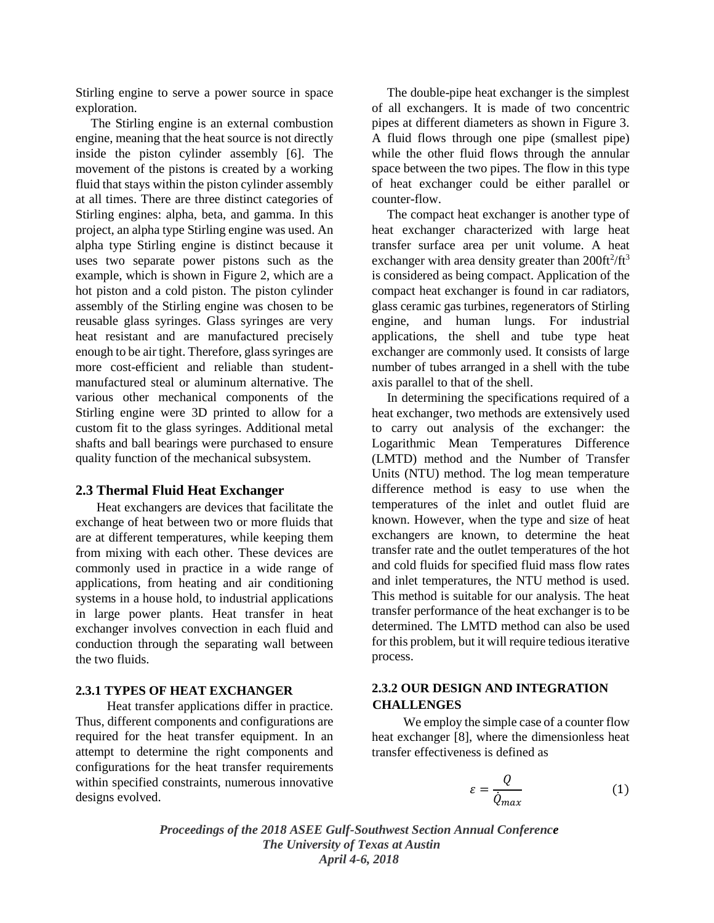Stirling engine to serve a power source in space exploration.

The Stirling engine is an external combustion engine, meaning that the heat source is not directly inside the piston cylinder assembly [6]. The movement of the pistons is created by a working fluid that stays within the piston cylinder assembly at all times. There are three distinct categories of Stirling engines: alpha, beta, and gamma. In this project, an alpha type Stirling engine was used. An alpha type Stirling engine is distinct because it uses two separate power pistons such as the example, which is shown in Figure 2, which are a hot piston and a cold piston. The piston cylinder assembly of the Stirling engine was chosen to be reusable glass syringes. Glass syringes are very heat resistant and are manufactured precisely enough to be air tight. Therefore, glass syringes are more cost-efficient and reliable than studentmanufactured steal or aluminum alternative. The various other mechanical components of the Stirling engine were 3D printed to allow for a custom fit to the glass syringes. Additional metal shafts and ball bearings were purchased to ensure quality function of the mechanical subsystem.

#### **2.3 Thermal Fluid Heat Exchanger**

Heat exchangers are devices that facilitate the exchange of heat between two or more fluids that are at different temperatures, while keeping them from mixing with each other. These devices are commonly used in practice in a wide range of applications, from heating and air conditioning systems in a house hold, to industrial applications in large power plants. Heat transfer in heat exchanger involves convection in each fluid and conduction through the separating wall between the two fluids.

#### **2.3.1 TYPES OF HEAT EXCHANGER**

Heat transfer applications differ in practice. Thus, different components and configurations are required for the heat transfer equipment. In an attempt to determine the right components and configurations for the heat transfer requirements within specified constraints, numerous innovative designs evolved.

The double-pipe heat exchanger is the simplest of all exchangers. It is made of two concentric pipes at different diameters as shown in Figure 3. A fluid flows through one pipe (smallest pipe) while the other fluid flows through the annular space between the two pipes. The flow in this type of heat exchanger could be either parallel or counter-flow.

The compact heat exchanger is another type of heat exchanger characterized with large heat transfer surface area per unit volume. A heat exchanger with area density greater than  $200 \text{ft}^2/\text{ft}^3$ is considered as being compact. Application of the compact heat exchanger is found in car radiators, glass ceramic gas turbines, regenerators of Stirling engine, and human lungs. For industrial applications, the shell and tube type heat exchanger are commonly used. It consists of large number of tubes arranged in a shell with the tube axis parallel to that of the shell.

In determining the specifications required of a heat exchanger, two methods are extensively used to carry out analysis of the exchanger: the Logarithmic Mean Temperatures Difference (LMTD) method and the Number of Transfer Units (NTU) method. The log mean temperature difference method is easy to use when the temperatures of the inlet and outlet fluid are known. However, when the type and size of heat exchangers are known, to determine the heat transfer rate and the outlet temperatures of the hot and cold fluids for specified fluid mass flow rates and inlet temperatures, the NTU method is used. This method is suitable for our analysis. The heat transfer performance of the heat exchanger is to be determined. The LMTD method can also be used for this problem, but it will require tedious iterative process.

# **2.3.2 OUR DESIGN AND INTEGRATION CHALLENGES**

We employ the simple case of a counter flow heat exchanger [8], where the dimensionless heat transfer effectiveness is defined as

$$
\varepsilon = \frac{Q}{\dot{Q}_{max}}\tag{1}
$$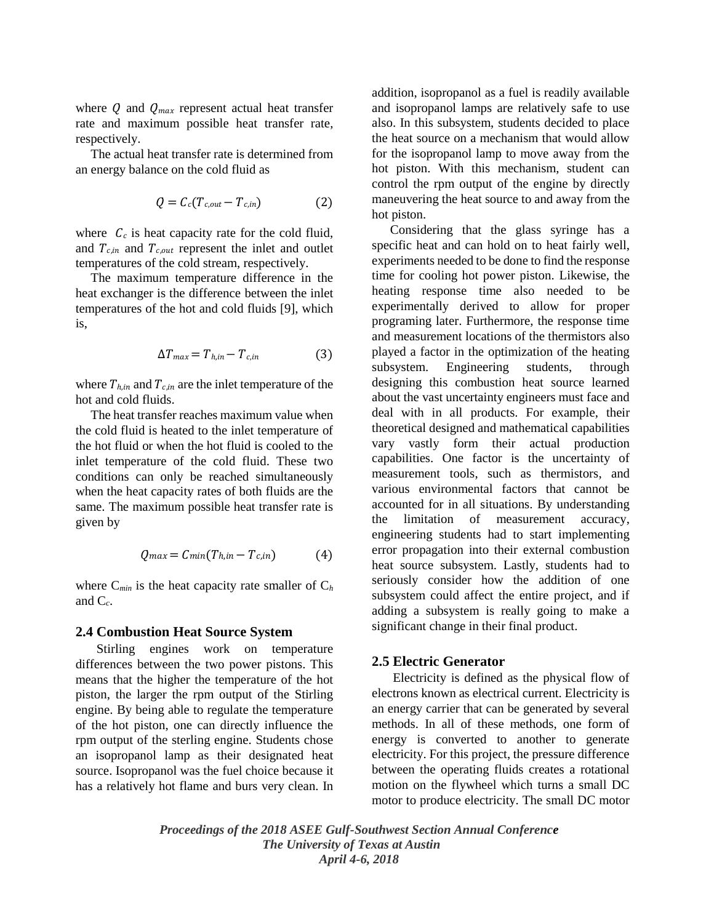where  $Q$  and  $Q_{max}$  represent actual heat transfer rate and maximum possible heat transfer rate, respectively.

The actual heat transfer rate is determined from an energy balance on the cold fluid as

$$
Q = C_c(T_{c,out} - T_{c,in})
$$
 (2)

where  $C_c$  is heat capacity rate for the cold fluid, and  $T_{c,in}$  and  $T_{c,out}$  represent the inlet and outlet temperatures of the cold stream, respectively.

The maximum temperature difference in the heat exchanger is the difference between the inlet temperatures of the hot and cold fluids [9], which is,

$$
\Delta T_{max} = T_{h,in} - T_{c,in} \tag{3}
$$

where  $T_{h,in}$  and  $T_{c,in}$  are the inlet temperature of the hot and cold fluids.

The heat transfer reaches maximum value when the cold fluid is heated to the inlet temperature of the hot fluid or when the hot fluid is cooled to the inlet temperature of the cold fluid. These two conditions can only be reached simultaneously when the heat capacity rates of both fluids are the same. The maximum possible heat transfer rate is given by

$$
Q_{max} = C_{min}(T_{h,in} - T_{c,in}) \tag{4}
$$

where  $C_{min}$  is the heat capacity rate smaller of  $C_h$ and C*c*.

#### **2.4 Combustion Heat Source System**

Stirling engines work on temperature differences between the two power pistons. This means that the higher the temperature of the hot piston, the larger the rpm output of the Stirling engine. By being able to regulate the temperature of the hot piston, one can directly influence the rpm output of the sterling engine. Students chose an isopropanol lamp as their designated heat source. Isopropanol was the fuel choice because it has a relatively hot flame and burs very clean. In

addition, isopropanol as a fuel is readily available and isopropanol lamps are relatively safe to use also. In this subsystem, students decided to place the heat source on a mechanism that would allow for the isopropanol lamp to move away from the hot piston. With this mechanism, student can control the rpm output of the engine by directly maneuvering the heat source to and away from the hot piston.

Considering that the glass syringe has a specific heat and can hold on to heat fairly well, experiments needed to be done to find the response time for cooling hot power piston. Likewise, the heating response time also needed to be experimentally derived to allow for proper programing later. Furthermore, the response time and measurement locations of the thermistors also played a factor in the optimization of the heating subsystem. Engineering students, through designing this combustion heat source learned about the vast uncertainty engineers must face and deal with in all products. For example, their theoretical designed and mathematical capabilities vary vastly form their actual production capabilities. One factor is the uncertainty of measurement tools, such as thermistors, and various environmental factors that cannot be accounted for in all situations. By understanding the limitation of measurement accuracy, engineering students had to start implementing error propagation into their external combustion heat source subsystem. Lastly, students had to seriously consider how the addition of one subsystem could affect the entire project, and if adding a subsystem is really going to make a significant change in their final product.

#### **2.5 Electric Generator**

Electricity is defined as the physical flow of electrons known as electrical current. Electricity is an energy carrier that can be generated by several methods. In all of these methods, one form of energy is converted to another to generate electricity. For this project, the pressure difference between the operating fluids creates a rotational motion on the flywheel which turns a small DC motor to produce electricity. The small DC motor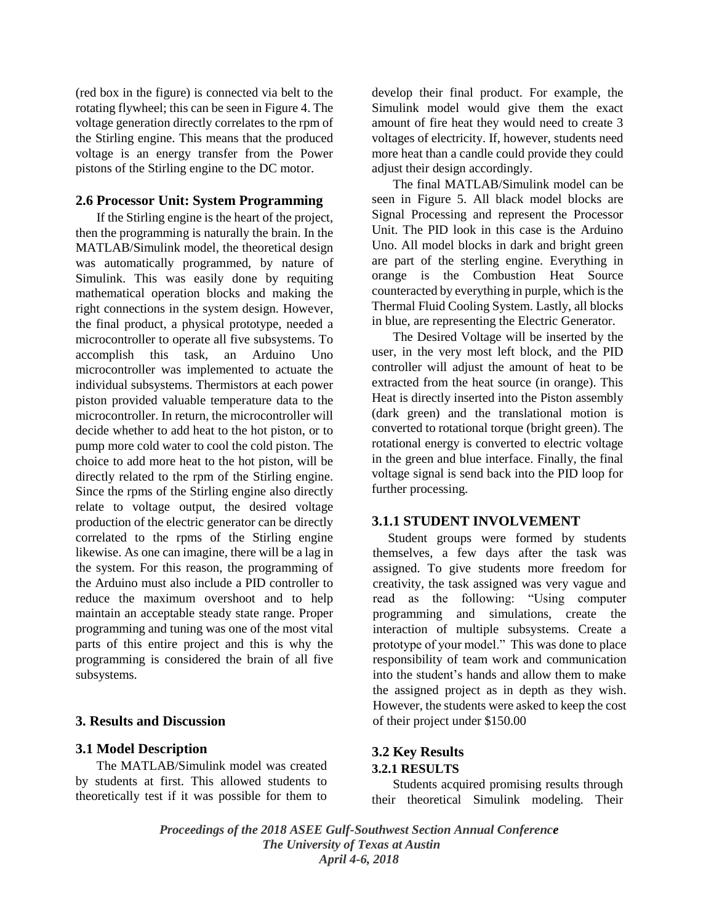(red box in the figure) is connected via belt to the rotating flywheel; this can be seen in Figure 4. The voltage generation directly correlates to the rpm of the Stirling engine. This means that the produced voltage is an energy transfer from the Power pistons of the Stirling engine to the DC motor.

### **2.6 Processor Unit: System Programming**

If the Stirling engine is the heart of the project, then the programming is naturally the brain. In the MATLAB/Simulink model, the theoretical design was automatically programmed, by nature of Simulink. This was easily done by requiting mathematical operation blocks and making the right connections in the system design. However, the final product, a physical prototype, needed a microcontroller to operate all five subsystems. To accomplish this task, an Arduino Uno microcontroller was implemented to actuate the individual subsystems. Thermistors at each power piston provided valuable temperature data to the microcontroller. In return, the microcontroller will decide whether to add heat to the hot piston, or to pump more cold water to cool the cold piston. The choice to add more heat to the hot piston, will be directly related to the rpm of the Stirling engine. Since the rpms of the Stirling engine also directly relate to voltage output, the desired voltage production of the electric generator can be directly correlated to the rpms of the Stirling engine likewise. As one can imagine, there will be a lag in the system. For this reason, the programming of the Arduino must also include a PID controller to reduce the maximum overshoot and to help maintain an acceptable steady state range. Proper programming and tuning was one of the most vital parts of this entire project and this is why the programming is considered the brain of all five subsystems.

#### **3. Results and Discussion**

#### **3.1 Model Description**

The MATLAB/Simulink model was created by students at first. This allowed students to theoretically test if it was possible for them to

develop their final product. For example, the Simulink model would give them the exact amount of fire heat they would need to create 3 voltages of electricity. If, however, students need more heat than a candle could provide they could adjust their design accordingly.

The final MATLAB/Simulink model can be seen in Figure 5. All black model blocks are Signal Processing and represent the Processor Unit. The PID look in this case is the Arduino Uno. All model blocks in dark and bright green are part of the sterling engine. Everything in orange is the Combustion Heat Source counteracted by everything in purple, which is the Thermal Fluid Cooling System. Lastly, all blocks in blue, are representing the Electric Generator.

The Desired Voltage will be inserted by the user, in the very most left block, and the PID controller will adjust the amount of heat to be extracted from the heat source (in orange). This Heat is directly inserted into the Piston assembly (dark green) and the translational motion is converted to rotational torque (bright green). The rotational energy is converted to electric voltage in the green and blue interface. Finally, the final voltage signal is send back into the PID loop for further processing.

#### **3.1.1 STUDENT INVOLVEMENT**

Student groups were formed by students themselves, a few days after the task was assigned. To give students more freedom for creativity, the task assigned was very vague and read as the following: "Using computer programming and simulations, create the interaction of multiple subsystems. Create a prototype of your model." This was done to place responsibility of team work and communication into the student's hands and allow them to make the assigned project as in depth as they wish. However, the students were asked to keep the cost of their project under \$150.00

# **3.2 Key Results 3.2.1 RESULTS**

Students acquired promising results through their theoretical Simulink modeling. Their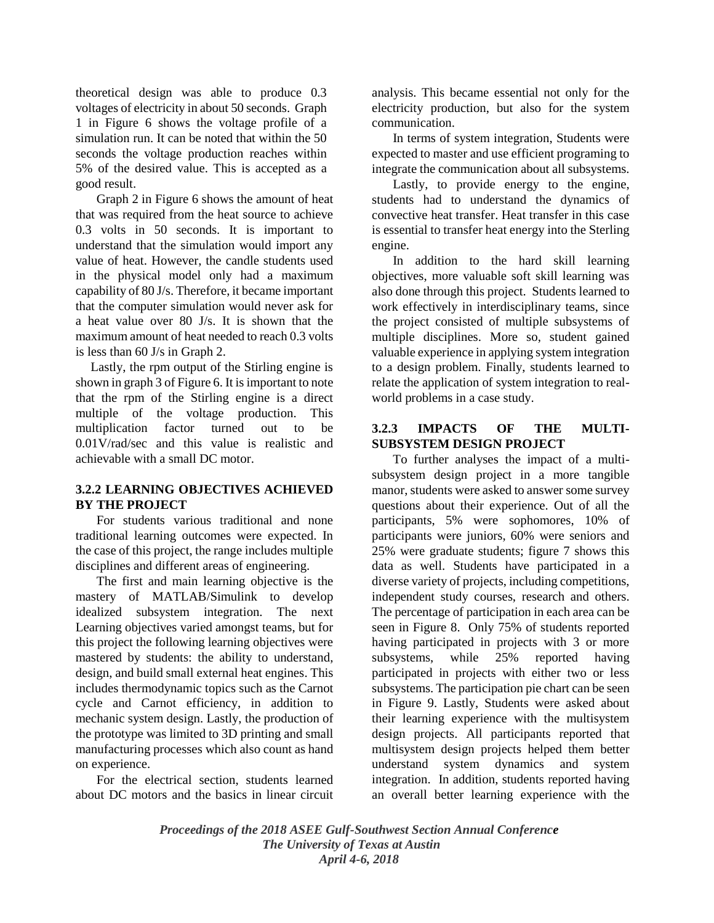theoretical design was able to produce 0.3 voltages of electricity in about 50 seconds. Graph 1 in Figure 6 shows the voltage profile of a simulation run. It can be noted that within the 50 seconds the voltage production reaches within 5% of the desired value. This is accepted as a good result.

Graph 2 in Figure 6 shows the amount of heat that was required from the heat source to achieve 0.3 volts in 50 seconds. It is important to understand that the simulation would import any value of heat. However, the candle students used in the physical model only had a maximum capability of 80 J/s. Therefore, it became important that the computer simulation would never ask for a heat value over 80 J/s. It is shown that the maximum amount of heat needed to reach 0.3 volts is less than 60 J/s in Graph 2.

Lastly, the rpm output of the Stirling engine is shown in graph 3 of Figure 6. It is important to note that the rpm of the Stirling engine is a direct multiple of the voltage production. This multiplication factor turned out to be 0.01V/rad/sec and this value is realistic and achievable with a small DC motor.

## **3.2.2 LEARNING OBJECTIVES ACHIEVED BY THE PROJECT**

For students various traditional and none traditional learning outcomes were expected. In the case of this project, the range includes multiple disciplines and different areas of engineering.

The first and main learning objective is the mastery of MATLAB/Simulink to develop idealized subsystem integration. The next Learning objectives varied amongst teams, but for this project the following learning objectives were mastered by students: the ability to understand, design, and build small external heat engines. This includes thermodynamic topics such as the Carnot cycle and Carnot efficiency, in addition to mechanic system design. Lastly, the production of the prototype was limited to 3D printing and small manufacturing processes which also count as hand on experience.

For the electrical section, students learned about DC motors and the basics in linear circuit analysis. This became essential not only for the electricity production, but also for the system communication.

In terms of system integration, Students were expected to master and use efficient programing to integrate the communication about all subsystems.

Lastly, to provide energy to the engine, students had to understand the dynamics of convective heat transfer. Heat transfer in this case is essential to transfer heat energy into the Sterling engine.

In addition to the hard skill learning objectives, more valuable soft skill learning was also done through this project. Students learned to work effectively in interdisciplinary teams, since the project consisted of multiple subsystems of multiple disciplines. More so, student gained valuable experience in applying system integration to a design problem. Finally, students learned to relate the application of system integration to realworld problems in a case study.

### **3.2.3 IMPACTS OF THE MULTI-SUBSYSTEM DESIGN PROJECT**

To further analyses the impact of a multisubsystem design project in a more tangible manor, students were asked to answer some survey questions about their experience. Out of all the participants, 5% were sophomores, 10% of participants were juniors, 60% were seniors and 25% were graduate students; figure 7 shows this data as well. Students have participated in a diverse variety of projects, including competitions, independent study courses, research and others. The percentage of participation in each area can be seen in Figure 8. Only 75% of students reported having participated in projects with 3 or more subsystems, while 25% reported having participated in projects with either two or less subsystems. The participation pie chart can be seen in Figure 9. Lastly, Students were asked about their learning experience with the multisystem design projects. All participants reported that multisystem design projects helped them better understand system dynamics and system integration. In addition, students reported having an overall better learning experience with the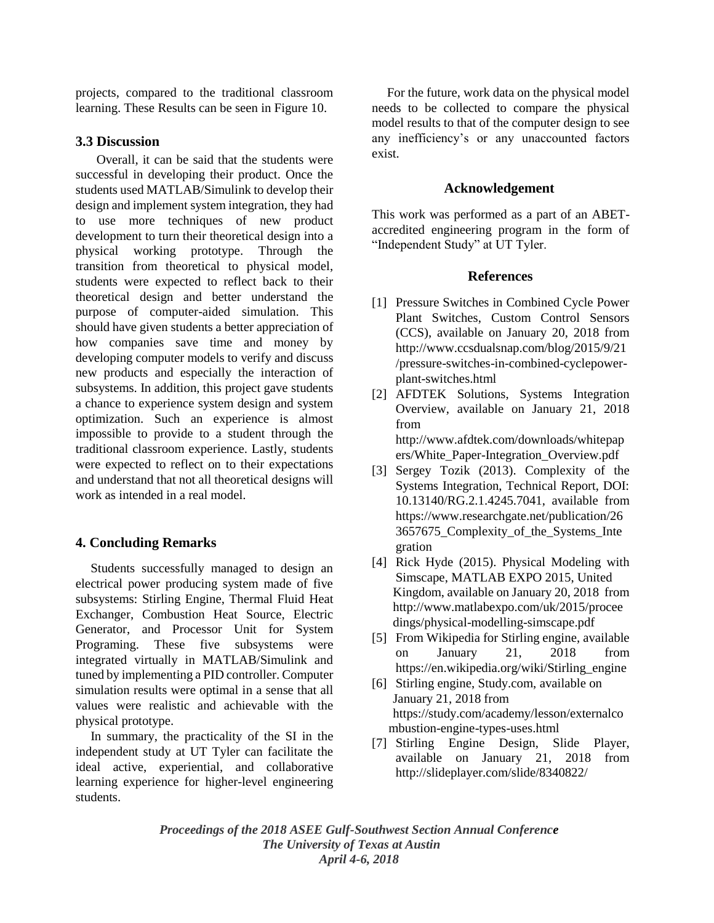projects, compared to the traditional classroom learning. These Results can be seen in Figure 10.

### **3.3 Discussion**

Overall, it can be said that the students were successful in developing their product. Once the students used MATLAB/Simulink to develop their design and implement system integration, they had to use more techniques of new product development to turn their theoretical design into a physical working prototype. Through the transition from theoretical to physical model, students were expected to reflect back to their theoretical design and better understand the purpose of computer-aided simulation. This should have given students a better appreciation of how companies save time and money by developing computer models to verify and discuss new products and especially the interaction of subsystems. In addition, this project gave students a chance to experience system design and system optimization. Such an experience is almost impossible to provide to a student through the traditional classroom experience. Lastly, students were expected to reflect on to their expectations and understand that not all theoretical designs will work as intended in a real model.

# **4. Concluding Remarks**

Students successfully managed to design an electrical power producing system made of five subsystems: Stirling Engine, Thermal Fluid Heat Exchanger, Combustion Heat Source, Electric Generator, and Processor Unit for System Programing. These five subsystems were integrated virtually in MATLAB/Simulink and tuned by implementing a PID controller. Computer simulation results were optimal in a sense that all values were realistic and achievable with the physical prototype.

In summary, the practicality of the SI in the independent study at UT Tyler can facilitate the ideal active, experiential, and collaborative learning experience for higher-level engineering students.

For the future, work data on the physical model needs to be collected to compare the physical model results to that of the computer design to see any inefficiency's or any unaccounted factors exist.

## **Acknowledgement**

This work was performed as a part of an ABETaccredited engineering program in the form of "Independent Study" at UT Tyler.

#### **References**

- [1] Pressure Switches in Combined Cycle Power Plant Switches, Custom Control Sensors (CCS), available on January 20, 2018 from [http://www.ccsdualsnap.com/blog/2015/9/21](http://www.ccsdualsnap.com/blog/2015/9/21/pressure-switches-in-combined-cycle-power-plant-switches.html) [/pressure-switches-in-combined-cyclepower](http://www.ccsdualsnap.com/blog/2015/9/21/pressure-switches-in-combined-cycle-power-plant-switches.html)[plant-switches.html](http://www.ccsdualsnap.com/blog/2015/9/21/pressure-switches-in-combined-cycle-power-plant-switches.html)
- [2] AFDTEK Solutions, Systems Integration Overview, available on January 21, 2018 from http://www.afdtek.com/downloads/whitepap ers/White\_Paper-Integration\_Overview.pdf
- [3] Sergey Tozik (2013). Complexity of the Systems Integration, Technical Report, DOI: 10.13140/RG.2.1.4245.7041, available from https://www.researchgate.net/publication/26 3657675\_Complexity\_of\_the\_Systems\_Inte gration
- [4] Rick Hyde (2015). Physical Modeling with Simscape, MATLAB EXPO 2015, United Kingdom, available on January 20, 2018 from [http://www.matlabexpo.com/uk/2015/procee](http://www.matlabexpo.com/uk/2015/proceedings/physical-modelling-simscape.pdf) [dings/physical-modelling-simscape.pdf](http://www.matlabexpo.com/uk/2015/proceedings/physical-modelling-simscape.pdf)
- [5] From Wikipedia for Stirling engine, available on January 21, 2018 from [https://en.wikipedia.org/wiki/Stirling\\_engine](https://en.wikipedia.org/wiki/Stirling_engine)
- [6] Stirling engine, Study.com, available on January 21, 2018 from [https://study.com/academy/lesson/externalco](https://study.com/academy/lesson/external-combustion-engine-types-uses.html) [mbustion-engine-types-uses.html](https://study.com/academy/lesson/external-combustion-engine-types-uses.html)
- [7] Stirling Engine Design, Slide Player, available on January 21, 2018 from http://slideplayer.com/slide/8340822/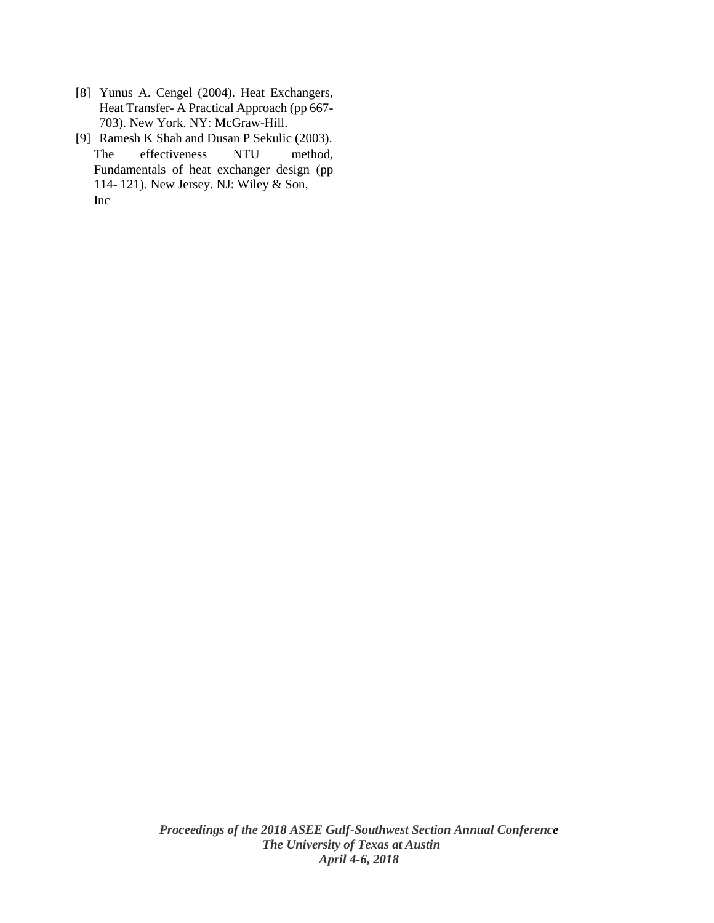- [8] Yunus A. Cengel (2004). Heat Exchangers, Heat Transfer- A Practical Approach (pp 667- 703). New York. NY: McGraw-Hill.
- [9] Ramesh K Shah and Dusan P Sekulic (2003). The effectiveness NTU method, Fundamentals of heat exchanger design (pp 114- 121). New Jersey. NJ: Wiley & Son, Inc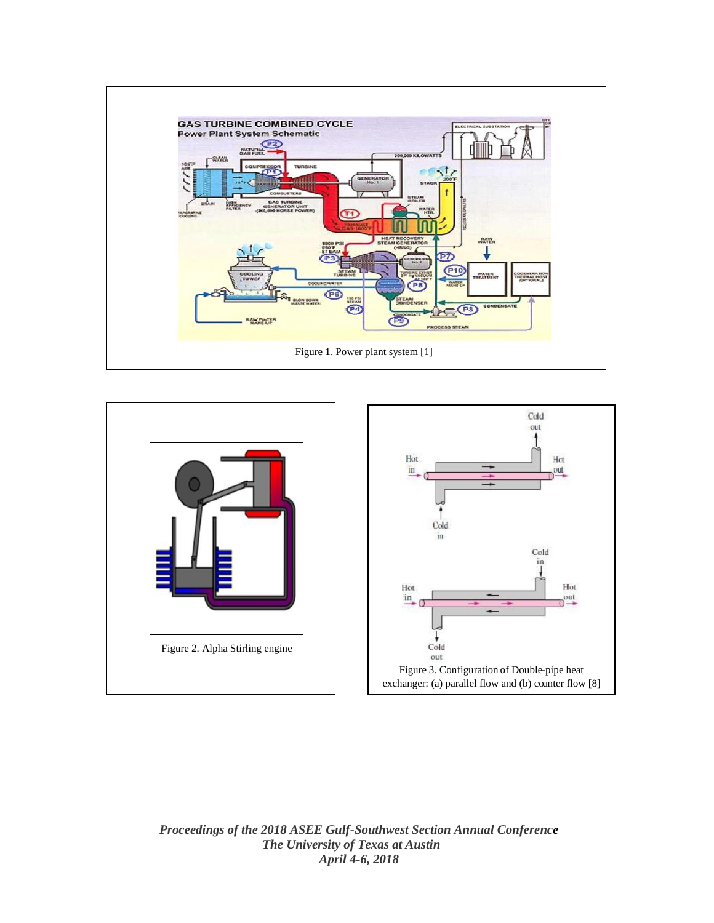

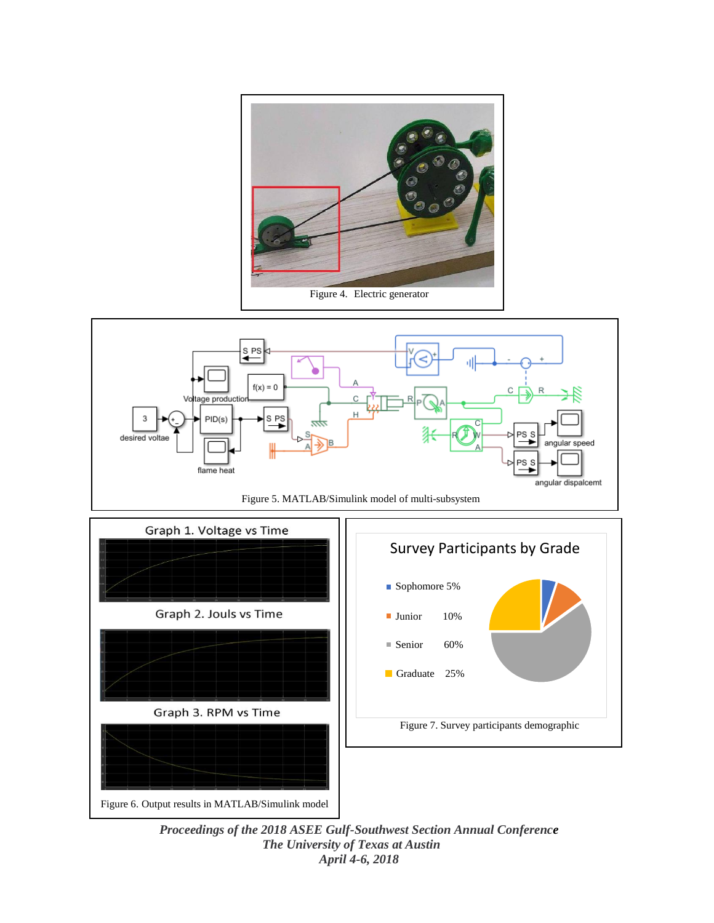





*Proceedings of the 2018 ASEE Gulf-Southwest Section Annual Conference The University of Texas at Austin April 4-6, 2018*